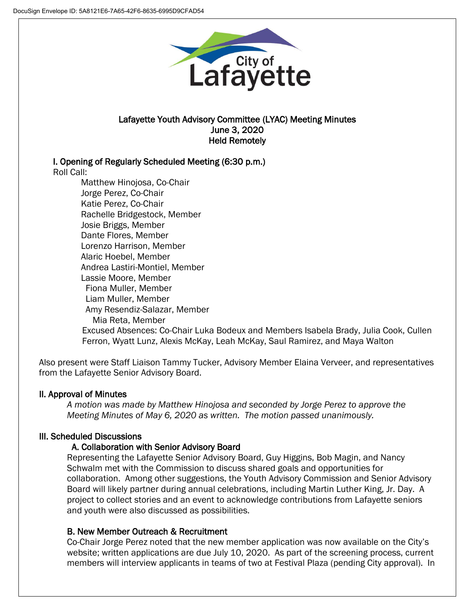

### Lafayette Youth Advisory Committee (LYAC) Meeting Minutes June 3, 2020 Held Remotely

# I. Opening of Regularly Scheduled Meeting (6:30 p.m.)

Roll Call:

Matthew Hinojosa, Co-Chair Jorge Perez, Co-Chair Katie Perez, Co-Chair Rachelle Bridgestock, Member Josie Briggs, Member Dante Flores, Member Lorenzo Harrison, Member Alaric Hoebel, Member Andrea Lastiri-Montiel, Member Lassie Moore, Member Fiona Muller, Member Liam Muller, Member Amy Resendiz-Salazar, Member Mia Reta, Member Excused Absences: Co-Chair Luka Bodeux and Members Isabela Brady, Julia Cook, Cullen Ferron, Wyatt Lunz, Alexis McKay, Leah McKay, Saul Ramirez, and Maya Walton

Also present were Staff Liaison Tammy Tucker, Advisory Member Elaina Verveer, and representatives from the Lafayette Senior Advisory Board.

# II. Approval of Minutes

*A motion was made by Matthew Hinojosa and seconded by Jorge Perez to approve the Meeting Minutes of May 6, 2020 as written. The motion passed unanimously.* 

# III. Scheduled Discussions

# A. Collaboration with Senior Advisory Board

Representing the Lafayette Senior Advisory Board, Guy Higgins, Bob Magin, and Nancy Schwalm met with the Commission to discuss shared goals and opportunities for collaboration. Among other suggestions, the Youth Advisory Commission and Senior Advisory Board will likely partner during annual celebrations, including Martin Luther King, Jr. Day. A project to collect stories and an event to acknowledge contributions from Lafayette seniors and youth were also discussed as possibilities.

# B. New Member Outreach & Recruitment

Co-Chair Jorge Perez noted that the new member application was now available on the City's website; written applications are due July 10, 2020. As part of the screening process, current members will interview applicants in teams of two at Festival Plaza (pending City approval). In